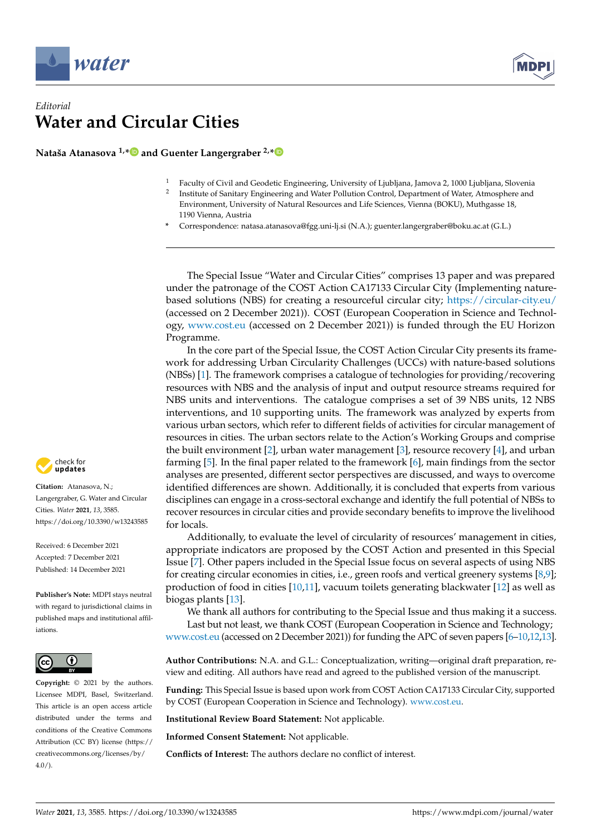

## *Editorial* **Water and Circular Cities**

**Nataša Atanasova 1,[\\*](https://orcid.org/0000-0002-8506-1667) and Guenter Langergraber 2,[\\*](https://orcid.org/0000-0003-4334-9563)**

- <sup>1</sup> Faculty of Civil and Geodetic Engineering, University of Ljubljana, Jamova 2, 1000 Ljubljana, Slovenia
- 2 Institute of Sanitary Engineering and Water Pollution Control, Department of Water, Atmosphere and Environment, University of Natural Resources and Life Sciences, Vienna (BOKU), Muthgasse 18, 1190 Vienna, Austria
- **\*** Correspondence: natasa.atanasova@fgg.uni-lj.si (N.A.); guenter.langergraber@boku.ac.at (G.L.)

The Special Issue "Water and Circular Cities" comprises 13 paper and was prepared under the patronage of the COST Action CA17133 Circular City (Implementing naturebased solutions (NBS) for creating a resourceful circular city; <https://circular-city.eu/> (accessed on 2 December 2021)). COST (European Cooperation in Science and Technology, <www.cost.eu> (accessed on 2 December 2021)) is funded through the EU Horizon Programme.

In the core part of the Special Issue, the COST Action Circular City presents its framework for addressing Urban Circularity Challenges (UCCs) with nature-based solutions (NBSs) [\[1\]](#page-1-0). The framework comprises a catalogue of technologies for providing/recovering resources with NBS and the analysis of input and output resource streams required for NBS units and interventions. The catalogue comprises a set of 39 NBS units, 12 NBS interventions, and 10 supporting units. The framework was analyzed by experts from various urban sectors, which refer to different fields of activities for circular management of resources in cities. The urban sectors relate to the Action's Working Groups and comprise the built environment [\[2\]](#page-1-1), urban water management [\[3\]](#page-1-2), resource recovery [\[4\]](#page-1-3), and urban farming [\[5\]](#page-1-4). In the final paper related to the framework [\[6\]](#page-1-5), main findings from the sector analyses are presented, different sector perspectives are discussed, and ways to overcome identified differences are shown. Additionally, it is concluded that experts from various disciplines can engage in a cross-sectoral exchange and identify the full potential of NBSs to recover resources in circular cities and provide secondary benefits to improve the livelihood for locals.

Additionally, to evaluate the level of circularity of resources' management in cities, appropriate indicators are proposed by the COST Action and presented in this Special Issue [\[7\]](#page-1-6). Other papers included in the Special Issue focus on several aspects of using NBS for creating circular economies in cities, i.e., green roofs and vertical greenery systems [\[8](#page-1-7)[,9\]](#page-1-8); production of food in cities [\[10](#page-1-9)[,11\]](#page-1-10), vacuum toilets generating blackwater [\[12\]](#page-1-11) as well as biogas plants [\[13\]](#page-1-12).

We thank all authors for contributing to the Special Issue and thus making it a success. Last but not least, we thank COST (European Cooperation in Science and Technology;

<www.cost.eu> (accessed on 2 December 2021)) for funding the APC of seven papers [\[6](#page-1-5)[–10,](#page-1-9)[12,](#page-1-11)[13\]](#page-1-12).

**Author Contributions:** N.A. and G.L.: Conceptualization, writing—original draft preparation, review and editing. All authors have read and agreed to the published version of the manuscript.

**Funding:** This Special Issue is based upon work from COST Action CA17133 Circular City, supported by COST (European Cooperation in Science and Technology). [www.cost.eu.](www.cost.eu)

**Institutional Review Board Statement:** Not applicable.

**Informed Consent Statement:** Not applicable.

**Conflicts of Interest:** The authors declare no conflict of interest.



**Citation:** Atanasova, N.; Langergraber, G. Water and Circular Cities. *Water* **2021**, *13*, 3585. <https://doi.org/10.3390/w13243585>

Received: 6 December 2021 Accepted: 7 December 2021 Published: 14 December 2021

**Publisher's Note:** MDPI stays neutral with regard to jurisdictional claims in published maps and institutional affiliations.



**Copyright:** © 2021 by the authors. Licensee MDPI, Basel, Switzerland. This article is an open access article distributed under the terms and conditions of the Creative Commons Attribution (CC BY) license (https:/[/](https://creativecommons.org/licenses/by/4.0/) [creativecommons.org/licenses/by/](https://creativecommons.org/licenses/by/4.0/)  $4.0/$ ).